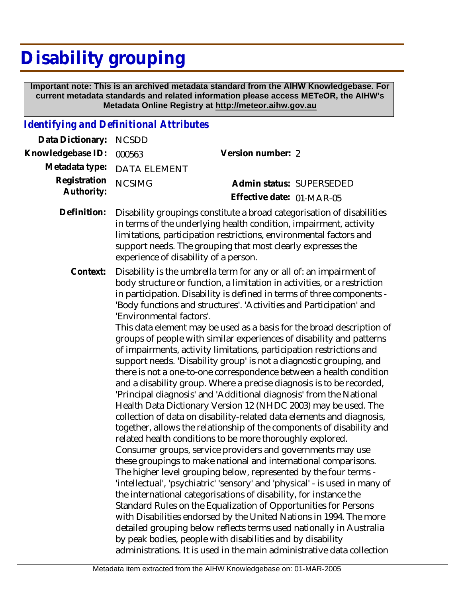## **Disability grouping**

 **Important note: This is an archived metadata standard from the AIHW Knowledgebase. For current metadata standards and related information please access METeOR, the AIHW's Metadata Online Registry at http://meteor.aihw.gov.au**

## *Identifying and Definitional Attributes*

| Data Dictionary:           | <b>NCSDD</b>                          |                                                                                                                                                                                                                                                                                                                                                                                                                                                                                                                                                                                                                                                                                                                                                                                                                                                                                                                                                                                                                                                                                                                                                                                                                                                                                                                                                                                                                                                                                                                                                                                                                                                                                                                                                                                                                         |
|----------------------------|---------------------------------------|-------------------------------------------------------------------------------------------------------------------------------------------------------------------------------------------------------------------------------------------------------------------------------------------------------------------------------------------------------------------------------------------------------------------------------------------------------------------------------------------------------------------------------------------------------------------------------------------------------------------------------------------------------------------------------------------------------------------------------------------------------------------------------------------------------------------------------------------------------------------------------------------------------------------------------------------------------------------------------------------------------------------------------------------------------------------------------------------------------------------------------------------------------------------------------------------------------------------------------------------------------------------------------------------------------------------------------------------------------------------------------------------------------------------------------------------------------------------------------------------------------------------------------------------------------------------------------------------------------------------------------------------------------------------------------------------------------------------------------------------------------------------------------------------------------------------------|
| Knowledgebase ID:          | 000563                                | Version number: 2                                                                                                                                                                                                                                                                                                                                                                                                                                                                                                                                                                                                                                                                                                                                                                                                                                                                                                                                                                                                                                                                                                                                                                                                                                                                                                                                                                                                                                                                                                                                                                                                                                                                                                                                                                                                       |
| Metadata type:             | <b>DATA ELEMENT</b>                   |                                                                                                                                                                                                                                                                                                                                                                                                                                                                                                                                                                                                                                                                                                                                                                                                                                                                                                                                                                                                                                                                                                                                                                                                                                                                                                                                                                                                                                                                                                                                                                                                                                                                                                                                                                                                                         |
| Registration<br>Authority: | <b>NCSIMG</b>                         | Admin status: SUPERSEDED<br>Effective date: 01-MAR-05                                                                                                                                                                                                                                                                                                                                                                                                                                                                                                                                                                                                                                                                                                                                                                                                                                                                                                                                                                                                                                                                                                                                                                                                                                                                                                                                                                                                                                                                                                                                                                                                                                                                                                                                                                   |
| Definition:                | experience of disability of a person. | Disability groupings constitute a broad categorisation of disabilities<br>in terms of the underlying health condition, impairment, activity<br>limitations, participation restrictions, environmental factors and<br>support needs. The grouping that most clearly expresses the                                                                                                                                                                                                                                                                                                                                                                                                                                                                                                                                                                                                                                                                                                                                                                                                                                                                                                                                                                                                                                                                                                                                                                                                                                                                                                                                                                                                                                                                                                                                        |
| Context:                   | 'Environmental factors'.              | Disability is the umbrella term for any or all of: an impairment of<br>body structure or function, a limitation in activities, or a restriction<br>in participation. Disability is defined in terms of three components -<br>'Body functions and structures'. 'Activities and Participation' and<br>This data element may be used as a basis for the broad description of<br>groups of people with similar experiences of disability and patterns<br>of impairments, activity limitations, participation restrictions and<br>support needs. 'Disability group' is not a diagnostic grouping, and<br>there is not a one-to-one correspondence between a health condition<br>and a disability group. Where a precise diagnosis is to be recorded,<br>'Principal diagnosis' and 'Additional diagnosis' from the National<br>Health Data Dictionary Version 12 (NHDC 2003) may be used. The<br>collection of data on disability-related data elements and diagnosis,<br>together, allows the relationship of the components of disability and<br>related health conditions to be more thoroughly explored.<br>Consumer groups, service providers and governments may use<br>these groupings to make national and international comparisons.<br>The higher level grouping below, represented by the four terms -<br>'intellectual', 'psychiatric' 'sensory' and 'physical' - is used in many of<br>the international categorisations of disability, for instance the<br>Standard Rules on the Equalization of Opportunities for Persons<br>with Disabilities endorsed by the United Nations in 1994. The more<br>detailed grouping below reflects terms used nationally in Australia<br>by peak bodies, people with disabilities and by disability<br>administrations. It is used in the main administrative data collection |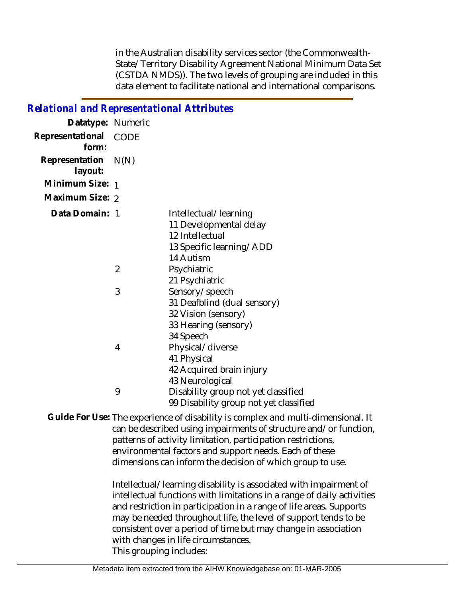in the Australian disability services sector (the Commonwealth-State/Territory Disability Agreement National Minimum Data Set (CSTDA NMDS)). The two levels of grouping are included in this data element to facilitate national and international comparisons.

| <b>Relational and Representational Attributes</b> |  |  |  |  |
|---------------------------------------------------|--|--|--|--|
|                                                   |  |  |  |  |

| Datatype: Numeric         |                |                                                                                                             |
|---------------------------|----------------|-------------------------------------------------------------------------------------------------------------|
| Representational<br>form: | CODE           |                                                                                                             |
| Representation<br>layout: | N(N)           |                                                                                                             |
| Minimum Size: 1           |                |                                                                                                             |
| Maximum Size: 2           |                |                                                                                                             |
| Data Domain: 1            |                | Intellectual/learning<br>11 Developmental delay<br>12 Intellectual<br>13 Specific learning/ADD<br>14 Autism |
|                           | $\overline{2}$ | Psychiatric<br>21 Psychiatric                                                                               |
|                           | 3              | Sensory/speech<br>31 Deafblind (dual sensory)<br>32 Vision (sensory)<br>33 Hearing (sensory)<br>34 Speech   |
|                           | 4              | Physical/diverse<br>41 Physical<br>42 Acquired brain injury<br>43 Neurological                              |
|                           | 9              | Disability group not yet classified<br>99 Disability group not yet classified                               |

Guide For Use: The experience of disability is complex and multi-dimensional. It can be described using impairments of structure and/or function, patterns of activity limitation, participation restrictions, environmental factors and support needs. Each of these dimensions can inform the decision of which group to use.

> Intellectual/learning disability is associated with impairment of intellectual functions with limitations in a range of daily activities and restriction in participation in a range of life areas. Supports may be needed throughout life, the level of support tends to be consistent over a period of time but may change in association with changes in life circumstances. This grouping includes: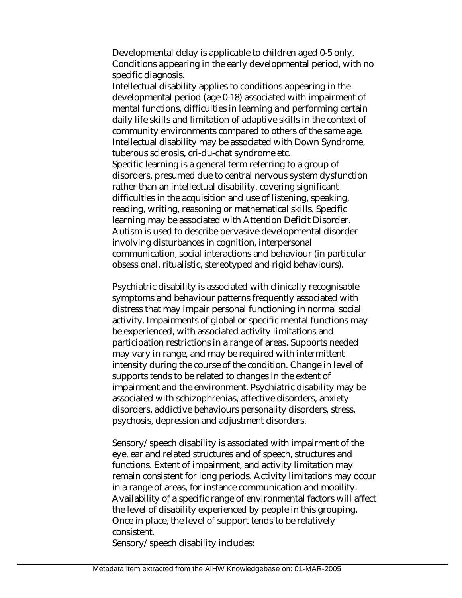Developmental delay is applicable to children aged 0-5 only. Conditions appearing in the early developmental period, with no specific diagnosis.

Intellectual disability applies to conditions appearing in the developmental period (age 0-18) associated with impairment of mental functions, difficulties in learning and performing certain daily life skills and limitation of adaptive skills in the context of community environments compared to others of the same age. Intellectual disability may be associated with Down Syndrome, tuberous sclerosis, cri-du-chat syndrome etc. Specific learning is a general term referring to a group of disorders, presumed due to central nervous system dysfunction rather than an intellectual disability, covering significant difficulties in the acquisition and use of listening, speaking, reading, writing, reasoning or mathematical skills. Specific learning may be associated with Attention Deficit Disorder. Autism is used to describe pervasive developmental disorder

involving disturbances in cognition, interpersonal communication, social interactions and behaviour (in particular obsessional, ritualistic, stereotyped and rigid behaviours).

Psychiatric disability is associated with clinically recognisable symptoms and behaviour patterns frequently associated with distress that may impair personal functioning in normal social activity. Impairments of global or specific mental functions may be experienced, with associated activity limitations and participation restrictions in a range of areas. Supports needed may vary in range, and may be required with intermittent intensity during the course of the condition. Change in level of supports tends to be related to changes in the extent of impairment and the environment. Psychiatric disability may be associated with schizophrenias, affective disorders, anxiety disorders, addictive behaviours personality disorders, stress, psychosis, depression and adjustment disorders.

Sensory/speech disability is associated with impairment of the eye, ear and related structures and of speech, structures and functions. Extent of impairment, and activity limitation may remain consistent for long periods. Activity limitations may occur in a range of areas, for instance communication and mobility. Availability of a specific range of environmental factors will affect the level of disability experienced by people in this grouping. Once in place, the level of support tends to be relatively consistent.

Sensory/speech disability includes: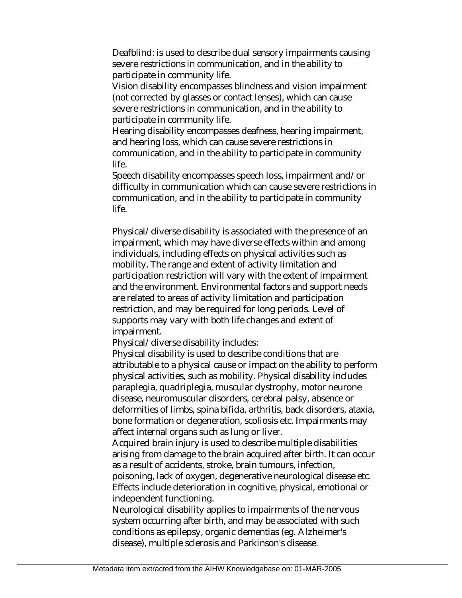Deafblind: is used to describe dual sensory impairments causing severe restrictions in communication, and in the ability to participate in community life.

Vision disability encompasses blindness and vision impairment (not corrected by glasses or contact lenses), which can cause severe restrictions in communication, and in the ability to participate in community life.

Hearing disability encompasses deafness, hearing impairment, and hearing loss, which can cause severe restrictions in communication, and in the ability to participate in community life.

Speech disability encompasses speech loss, impairment and/or difficulty in communication which can cause severe restrictions in communication, and in the ability to participate in community life.

Physical/diverse disability is associated with the presence of an impairment, which may have diverse effects within and among individuals, including effects on physical activities such as mobility. The range and extent of activity limitation and participation restriction will vary with the extent of impairment and the environment. Environmental factors and support needs are related to areas of activity limitation and participation restriction, and may be required for long periods. Level of supports may vary with both life changes and extent of impairment.

Physical/diverse disability includes:

Physical disability is used to describe conditions that are attributable to a physical cause or impact on the ability to perform physical activities, such as mobility. Physical disability includes paraplegia, quadriplegia, muscular dystrophy, motor neurone disease, neuromuscular disorders, cerebral palsy, absence or deformities of limbs, spina bifida, arthritis, back disorders, ataxia, bone formation or degeneration, scoliosis etc. Impairments may affect internal organs such as lung or liver.

Acquired brain injury is used to describe multiple disabilities arising from damage to the brain acquired after birth. It can occur as a result of accidents, stroke, brain tumours, infection, poisoning, lack of oxygen, degenerative neurological disease etc. Effects include deterioration in cognitive, physical, emotional or independent functioning.

Neurological disability applies to impairments of the nervous system occurring after birth, and may be associated with such conditions as epilepsy, organic dementias (eg. Alzheimer's disease), multiple sclerosis and Parkinson's disease.